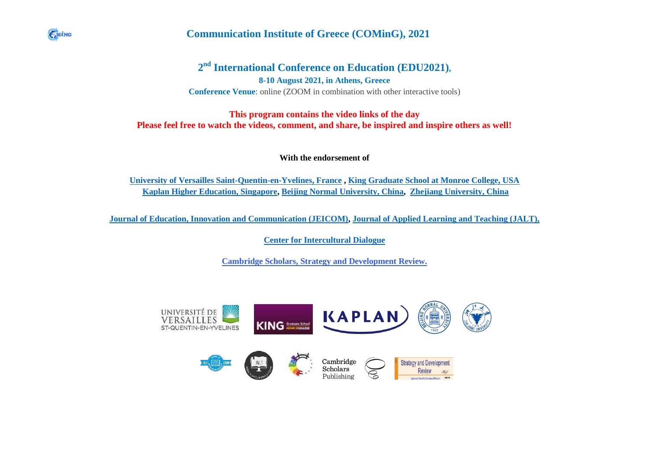

## **Communication Institute of Greece (COMinG), 2021**

## **2 nd International Conference on Education (EDU2021),**

**8-10 August 2021, in Athens, Greece Conference Venue**: online (ZOOM in combination with other interactive tools)

## **This program contains the video links of the day Please feel free to watch the videos, comment, and share, be inspired and inspire others as well!**

**With the endorsement of** 

**[University of Versailles Saint-Quentin-en-Yvelines, France](https://www.uvsq.fr/uvsq) , [King Graduate School at Monroe College, USA](https://www.monroecollege.edu/academics/king-graduate-school) [Kaplan Higher Education, Singapore,](https://kaplan.com/) [Beijing Normal University, China,](https://english.bnu.edu.cn/) [Zhejiang University, China](https://www.zju.edu.cn/english/)**

**[Journal of Education, Innovation and Communication \(JEICOM\),](https://coming.gr/journal-of-education-innovation-and-communication-jeicom/) [Journal of Applied Learning and Teaching \(JALT\),](https://journals.sfu.ca/jalt/index.php/jalt)**

**[Center for Intercultural Dialogue](https://centerforinterculturaldialogue.org/)**

**[Cambridge Scholars, Strategy and Development Review.](http://www.cambridgescholars.com/)**

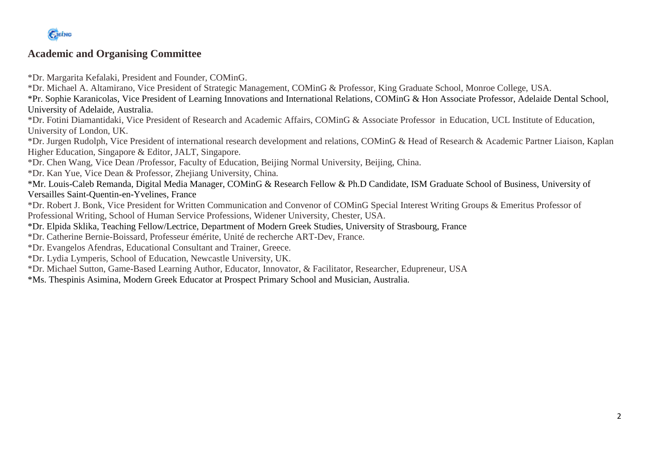

## **Academic and Organising Committee**

\*Dr. Margarita Kefalaki, President and Founder, COMinG.

\*Dr. Michael A. Altamirano, Vice President of Strategic Management, COMinG & Professor, King Graduate School, Monroe College, USA.

\*Pr. Sophie Karanicolas, Vice President of Learning Innovations and International Relations, COMinG & Hon Associate Professor, Adelaide Dental School, University of Adelaide, Australia.

\*Dr. Fotini Diamantidaki, Vice President of Research and Academic Affairs, COMinG & Associate Professor in Education, UCL Institute of Education, University of London, UK.

\*Dr. Jurgen Rudolph, Vice President of international research development and relations, COMinG & Head of Research & Academic Partner Liaison, Kaplan Higher Education, Singapore & Editor, JALT, Singapore.

\*Dr. Chen Wang, Vice Dean /Professor, Faculty of Education, Beijing Normal University, Beijing, China.

\*Dr. Kan Yue, Vice Dean & Professor, Zhejiang University, China.

\*Mr. Louis-Caleb Remanda, Digital Media Manager, COMinG & Research Fellow & Ph.D Candidate, ISM Graduate School of Business, University of Versailles Saint-Quentin-en-Yvelines, France

\*Dr. Robert J. Bonk, Vice President for Written Communication and Convenor of COMinG Special Interest Writing Groups & Emeritus Professor of Professional Writing, School of Human Service Professions, Widener University, Chester, USA.

\*Dr. Elpida Sklika, Teaching Fellow/Lectrice, Department of Modern Greek Studies, University of Strasbourg, France

\*Dr. Catherine Bernie-Boissard, Professeur émérite, Unité de recherche ART-Dev, France.

\*Dr. Evangelos Afendras, Educational Consultant and Trainer, Greece.

\*Dr. Lydia Lymperis, School of Education, Newcastle University, UK.

\*Dr. Michael Sutton, Game-Based Learning Author, Educator, Innovator, & Facilitator, Researcher, Edupreneur, USA

\*Ms. Thespinis Asimina, Modern Greek Educator at Prospect Primary School and Musician, Australia.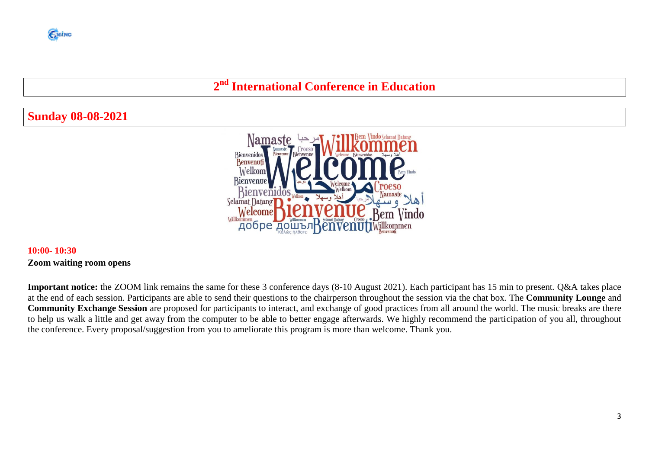# **2 nd International Conference in Education**

## **Sunday 08-08-2021**



## **10:00- 10:30 Zoom waiting room opens**

**Important notice:** the ZOOM link remains the same for these 3 conference days (8-10 August 2021). Each participant has 15 min to present. Q&A takes place at the end of each session. Participants are able to send their questions to the chairperson throughout the session via the chat box. The **Community Lounge** and **Community Exchange Session** are proposed for participants to interact, and exchange of good practices from all around the world. The music breaks are there to help us walk a little and get away from the computer to be able to better engage afterwards. We highly recommend the participation of you all, throughout the conference. Every proposal/suggestion from you to ameliorate this program is more than welcome. Thank you.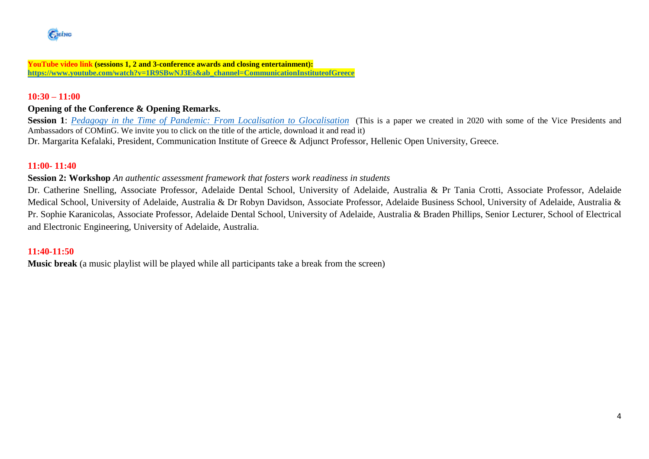**YouTube video link (sessions 1, 2 and 3-conference awards and closing entertainment): [https://www.youtube.com/watch?v=1R9SBwNJ3Es&ab\\_channel=CommunicationInstituteofGreece](https://www.youtube.com/watch?v=1R9SBwNJ3Es&ab_channel=CommunicationInstituteofGreece)**

## **10:30 – 11:00**

## **Opening of the Conference & Opening Remarks.**

**Session 1**: *[Pedagogy in the Time of Pandemic: From Localisation to Glocalisation](https://coming.gr/wp-content/uploads/2020/07/1_SP_JEICOM_JUNE_2020_Bonk-et-al_Pedagogy-in-the-Time-of-Pandemic.pdf)* (This is a paper we created in 2020 with some of the Vice Presidents and Ambassadors of COMinG. We invite you to click on the title of the article, download it and read it) [Dr. Margarita Kefalaki,](https://coming.gr/wp-content/uploads/2021/03/1_PR_CV_Dr-Margarita-Kefalaki.pdf) President, Communication Institute of Greece & Adjunct Professor, Hellenic Open University, Greece.

#### **11:00- 11:40**

#### **Session 2: Workshop** *An authentic assessment framework that fosters work readiness in students*

Dr. Catherine Snelling, Associate Professor, Adelaide Dental School, University of Adelaide, Australia & Pr Tania Crotti, Associate Professor, Adelaide Medical School, University of Adelaide, Australia & Dr Robyn Davidson, Associate Professor, Adelaide Business School, University of Adelaide, Australia & Pr. Sophie Karanicolas, Associate Professor, Adelaide Dental School, University of Adelaide, Australia & Braden Phillips, Senior Lecturer, School of Electrical and Electronic Engineering, University of Adelaide, Australia.

## **11:40-11:50**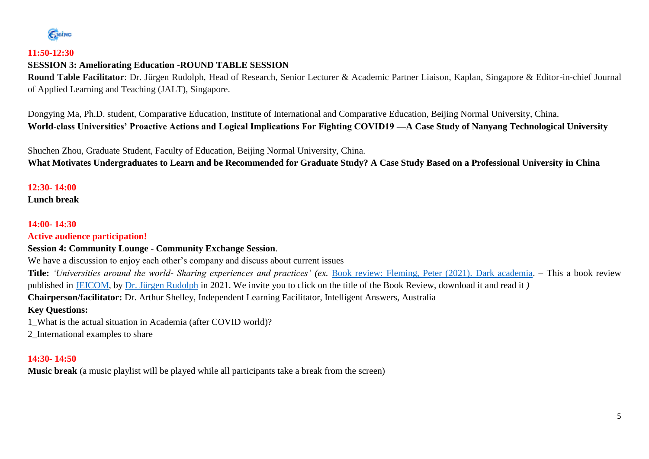

## **11:50-12:30**

## **SESSION 3: Ameliorating Education -ROUND TABLE SESSION**

**Round Table Facilitator**: Dr. Jürgen Rudolph, Head of Research, Senior Lecturer & Academic Partner Liaison, Kaplan, Singapore & Editor-in-chief Journal of Applied Learning and Teaching (JALT), Singapore.

Dongying Ma, Ph.D. student, Comparative Education, Institute of International and Comparative Education, Beijing Normal University, China. **World-class Universities' Proactive Actions and Logical Implications For Fighting COVID19 —A Case Study of Nanyang Technological University**

Shuchen Zhou, Graduate Student, Faculty of Education, Beijing Normal University, China. **What Motivates Undergraduates to Learn and be Recommended for Graduate Study? A Case Study Based on a Professional University in China**

## **12:30- 14:00**

**Lunch break** 

## **14:00- 14:30**

**Active audience participation!**

## **Session 4: Community Lounge - Community Exchange Session**.

We have a discussion to enjoy each other's company and discuss about current issues

**Title:** *'Universities around the world- Sharing experiences and practices' (ex.* [Book review: Fleming, Peter \(2021\). Dark academia.](https://coming.gr/wp-content/uploads/2021/06/7_2021_JUNE_JEICOM_Rudolf_Fleming_Dark-Academia-book-review_109-114.pdf) – This a book review published in [JEICOM,](https://coming.gr/journal-of-education-innovation-and-communication-jeicom/) by [Dr. Jürgen Rudolph](https://coming.gr/wp-content/uploads/2021/02/1_VP_CV_Dr-Jurgen-Rudolph.pdf) in 2021. We invite you to click on the title of the Book Review, download it and read it *)*  **Chairperson/facilitator:** Dr. Arthur Shelley, Independent Learning Facilitator, Intelligent Answers, Australia

## **Key Questions:**

1\_What is the actual situation in Academia (after COVID world)?

2\_International examples to share

## **14:30- 14:50**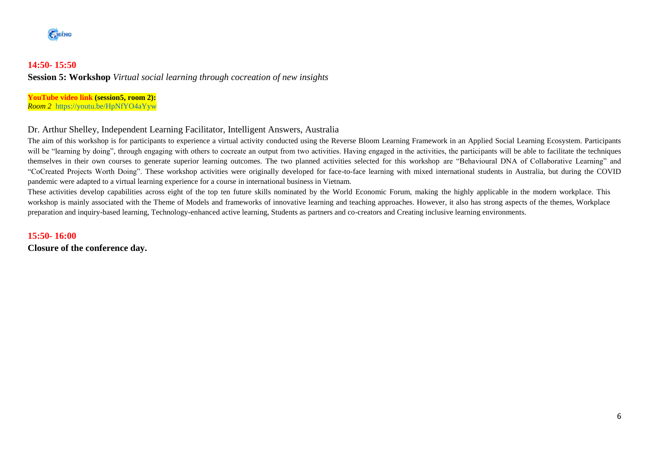

## **14:50- 15:50 Session 5: Workshop** *Virtual social learning through cocreation of new insights*

**YouTube video link (session5, room 2):** *Room 2* <https://youtu.be/HpNfYO4aYyw>

#### Dr. Arthur Shelley, Independent Learning Facilitator, Intelligent Answers, Australia

The aim of this workshop is for participants to experience a virtual activity conducted using the Reverse Bloom Learning Framework in an Applied Social Learning Ecosystem. Participants will be "learning by doing", through engaging with others to cocreate an output from two activities. Having engaged in the activities, the participants will be able to facilitate the techniques themselves in their own courses to generate superior learning outcomes. The two planned activities selected for this workshop are "Behavioural DNA of Collaborative Learning" and "CoCreated Projects Worth Doing". These workshop activities were originally developed for face-to-face learning with mixed international students in Australia, but during the COVID pandemic were adapted to a virtual learning experience for a course in international business in Vietnam.

These activities develop capabilities across eight of the top ten future skills nominated by the World Economic Forum, making the highly applicable in the modern workplace. This workshop is mainly associated with the Theme of Models and frameworks of innovative learning and teaching approaches. However, it also has strong aspects of the themes, Workplace preparation and inquiry-based learning, Technology-enhanced active learning, Students as partners and co-creators and Creating inclusive learning environments.

#### **15:50- 16:00**

**Closure of the conference day.**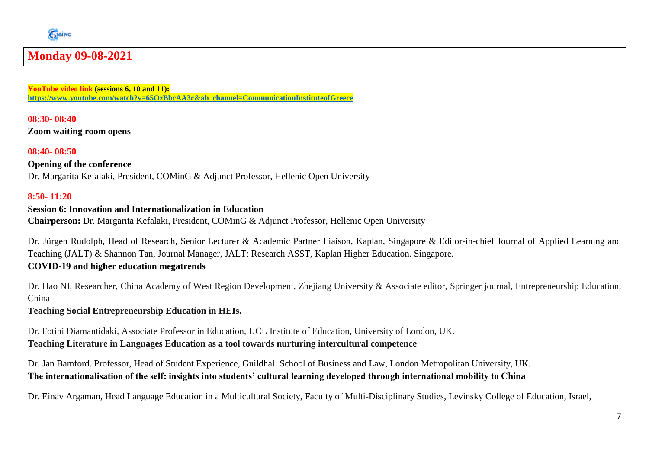

# **Monday 09-08-2021**

**YouTube video link (sessions 6, 10 and 11): [https://www.youtube.com/watch?v=65OzBbcAA3c&ab\\_channel=CommunicationInstituteofGreece](https://www.youtube.com/watch?v=65OzBbcAA3c&ab_channel=CommunicationInstituteofGreece)**

**08:30- 08:40 Zoom waiting room opens** 

**08:40- 08:50 Opening of the conference**

Dr. Margarita Kefalaki, President, COMinG & Adjunct Professor, Hellenic Open University

### **8:50- 11:20**

## **Session 6: Innovation and Internationalization in Education**

**Chairperson:** Dr. Margarita Kefalaki, President, COMinG & Adjunct Professor, Hellenic Open University

Dr. Jürgen Rudolph, Head of Research, Senior Lecturer & Academic Partner Liaison, Kaplan, Singapore & Editor-in-chief Journal of Applied Learning and Teaching (JALT) & Shannon Tan, Journal Manager, JALT; Research ASST, Kaplan Higher Education. Singapore. **COVID-19 and higher education megatrends**

Dr. Hao NI, Researcher, China Academy of West Region Development, Zhejiang University & Associate editor, Springer journal, Entrepreneurship Education, China

**Teaching Social Entrepreneurship Education in HEIs.**

Dr. Fotini Diamantidaki, Associate Professor in Education, UCL Institute of Education, University of London, UK. **Teaching Literature in Languages Education as a tool towards nurturing intercultural competence**

Dr. Jan Bamford. Professor, Head of Student Experience, Guildhall School of Business and Law, London Metropolitan University, UK. **The internationalisation of the self: insights into students' cultural learning developed through international mobility to China**

Dr. Einav Argaman, Head Language Education in a Multicultural Society, Faculty of Multi-Disciplinary Studies, Levinsky College of Education, Israel,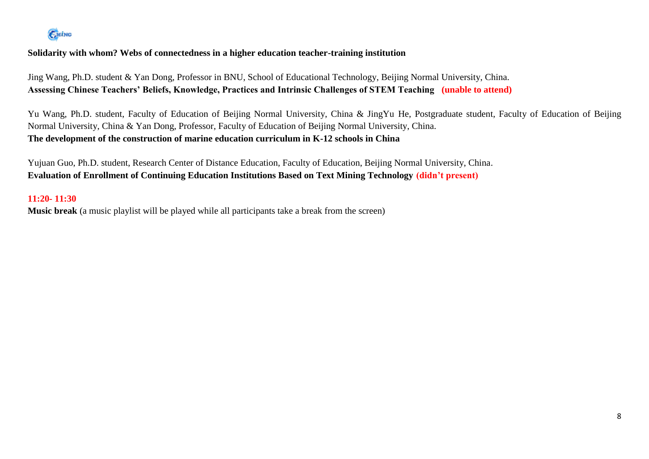# EMING

**Solidarity with whom? Webs of connectedness in a higher education teacher-training institution**

Jing Wang, Ph.D. student & Yan Dong, Professor in BNU, School of Educational Technology, Beijing Normal University, China. **Assessing Chinese Teachers' Beliefs, Knowledge, Practices and Intrinsic Challenges of STEM Teaching (unable to attend)** 

Yu Wang, Ph.D. student, Faculty of Education of Beijing Normal University, China & JingYu He, Postgraduate student, Faculty of Education of Beijing Normal University, China & Yan Dong, Professor, Faculty of Education of Beijing Normal University, China. **The development of the construction of marine education curriculum in K-12 schools in China** 

Yujuan Guo, Ph.D. student, Research Center of Distance Education, Faculty of Education, Beijing Normal University, China. **Evaluation of Enrollment of Continuing Education Institutions Based on Text Mining Technology (didn't present)**

## **11:20- 11:30**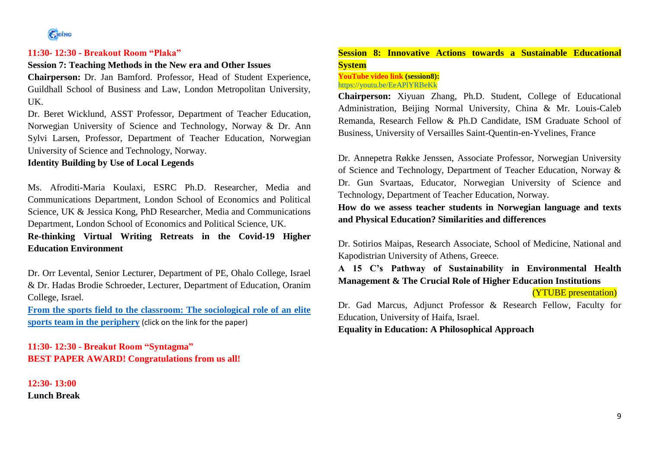

#### **11:30- 12:30 - Breakout Room "Plaka"**

#### **Session 7: Teaching Methods in the New era and Other Issues**

**Chairperson:** Dr. Jan Bamford. Professor, Head of Student Experience, Guildhall School of Business and Law, London Metropolitan University, UK.

Dr. Beret Wicklund, ASST Professor, Department of Teacher Education, Norwegian University of Science and Technology, Norway & Dr. Ann Sylvi Larsen, Professor, Department of Teacher Education, Norwegian University of Science and Technology, Norway.

#### **Identity Building by Use of Local Legends**

Ms. Afroditi-Maria Koulaxi, ESRC Ph.D. Researcher, Media and Communications Department, London School of Economics and Political Science, UK & Jessica Kong, PhD Researcher, Media and Communications Department, London School of Economics and Political Science, UK. **Re-thinking Virtual Writing Retreats in the Covid-19 Higher** 

**Education Environment** 

Dr. Orr Levental, Senior Lecturer, Department of PE, Ohalo College, Israel & Dr. Hadas Brodie Schroeder, Lecturer, Department of Education, Oranim College, Israel.

**[From the sports field to the classroom: The sociological role of an elite](https://coming.gr/wp-content/uploads/2021/06/5_2021_JUNE_JEICOM_Levental-Orr_79-90.pdf)  [sports team in the periphery](https://coming.gr/wp-content/uploads/2021/06/5_2021_JUNE_JEICOM_Levental-Orr_79-90.pdf)** (click on the link for the paper)

**11:30- 12:30 - Breakut Room "Syntagma" BEST PAPER AWARD! Congratulations from us all!**

**12:30- 13:00 Lunch Break**

## **Session 8: Innovative Actions towards a Sustainable Educational System**

#### **YouTube video link (session8):** <https://youtu.be/EeAPlYRBeKk>

**Chairperson:** Xiyuan Zhang, Ph.D. Student, College of Educational Administration, Beijing Normal University, China & Mr. Louis-Caleb Remanda, Research Fellow & Ph.D Candidate, ISM Graduate School of Business, University of Versailles Saint-Quentin-en-Yvelines, France

Dr. Annepetra Røkke Jenssen, Associate Professor, Norwegian University of Science and Technology, Department of Teacher Education, Norway & Dr. Gun Svartaas, Educator, Norwegian University of Science and Technology, Department of Teacher Education, Norway.

**How do we assess teacher students in Norwegian language and texts and Physical Education? Similarities and differences**

Dr. Sotirios Maipas, Research Associate, School of Medicine, National and Kapodistrian University of Athens, Greece.

**A 15 C's Pathway of Sustainability in Environmental Health Management & The Crucial Role of Higher Education Institutions**

#### (YTUBE presentation)

Dr. Gad Marcus, Adjunct Professor & Research Fellow, Faculty for Education, University of Haifa, Israel.

**Equality in Education: A Philosophical Approach**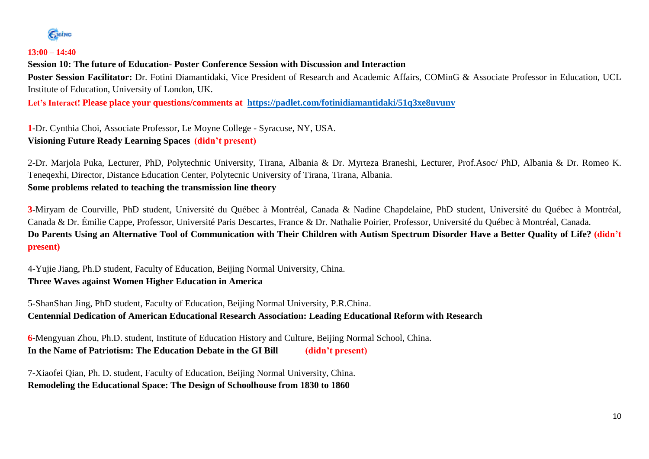GMING

### **13:00 – 14:40**

**Session 10: The future of Education- Poster Conference Session with Discussion and Interaction** 

Poster Session Facilitator: Dr. Fotini Diamantidaki, Vice President of Research and Academic Affairs, COMinG & Associate Professor in Education, UCL Institute of Education, University of London, UK.

**Let's Interact! Please place your questions/comments at <https://padlet.com/fotinidiamantidaki/51q3xe8uvunv>**

**1**-Dr. Cynthia Choi, Associate Professor, Le Moyne College - Syracuse, NY, USA. **Visioning Future Ready Learning Spaces (didn't present)**

2-Dr. Marjola Puka, Lecturer, PhD, Polytechnic University, Tirana, Albania & Dr. Myrteza Braneshi, Lecturer, Prof.Asoc/ PhD, Albania & Dr. Romeo K. Teneqexhi, Director, Distance Education Center, Polytecnic University of Tirana, Tirana, Albania. **Some problems related to teaching the transmission line theory**

**3**-Miryam de Courville, PhD student, Université du Québec à Montréal, Canada & Nadine Chapdelaine, PhD student, Université du Québec à Montréal, Canada & Dr. Émilie Cappe, Professor, Université Paris Descartes, France & Dr. Nathalie Poirier, Professor, Université du Québec à Montréal, Canada. **Do Parents Using an Alternative Tool of Communication with Their Children with Autism Spectrum Disorder Have a Better Quality of Life? (didn't present)**

4-Yujie Jiang, Ph.D student, Faculty of Education, Beijing Normal University, China. **Three Waves against Women Higher Education in America**

5-ShanShan Jing, PhD student, Faculty of Education, Beijing Normal University, P.R.China. **Centennial Dedication of American Educational Research Association: Leading Educational Reform with Research**

**6**-Mengyuan Zhou, Ph.D. student, Institute of Education History and Culture, Beijing Normal School, China. **In the Name of Patriotism: The Education Debate in the GI Bill (didn't present)**

7-Xiaofei Qian, Ph. D. student, Faculty of Education, Beijing Normal University, China. **Remodeling the Educational Space: The Design of Schoolhouse from 1830 to 1860**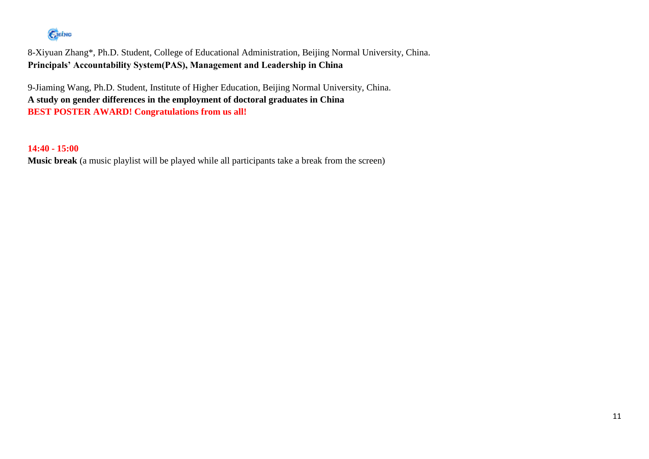# EMING

8-Xiyuan Zhang\*, Ph.D. Student, College of Educational Administration, Beijing Normal University, China. **Principals' Accountability System(PAS), Management and Leadership in China**

9-Jiaming Wang, Ph.D. Student, Institute of Higher Education, Beijing Normal University, China. **A study on gender differences in the employment of doctoral graduates in China BEST POSTER AWARD! Congratulations from us all!**

**14:40 - 15:00**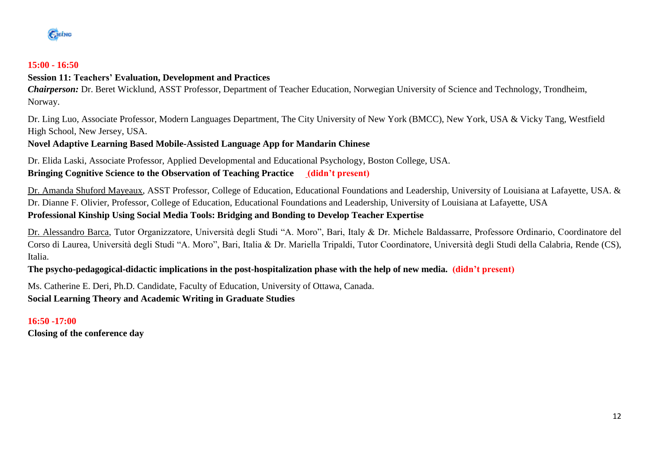

### **15:00 - 16:50**

## **Session 11: Teachers' Evaluation, Development and Practices**

*Chairperson:* Dr. Beret Wicklund, ASST Professor, Department of Teacher Education, Norwegian University of Science and Technology, Trondheim, Norway.

Dr. Ling Luo, Associate Professor, Modern Languages Department, The City University of New York (BMCC), New York, USA & Vicky Tang, Westfield High School, New Jersey, USA.

## **Novel Adaptive Learning Based Mobile-Assisted Language App for Mandarin Chinese**

Dr. Elida Laski, Associate Professor, Applied Developmental and Educational Psychology, Boston College, USA. **Bringing Cognitive Science to the Observation of Teaching Practice (didn't present)**

Dr. Amanda Shuford Mayeaux, ASST Professor, College of Education, Educational Foundations and Leadership, University of Louisiana at Lafayette, USA. & Dr. Dianne F. Olivier, Professor, College of Education, Educational Foundations and Leadership, University of Louisiana at Lafayette, USA **Professional Kinship Using Social Media Tools: Bridging and Bonding to Develop Teacher Expertise**

Dr. Alessandro Barca, Tutor Organizzatore, Università degli Studi "A. Moro", Bari, Italy & Dr. Michele Baldassarre, Professore Ordinario, Coordinatore del Corso di Laurea, Università degli Studi "A. Moro", Bari, Italia & Dr. Mariella Tripaldi, Tutor Coordinatore, Università degli Studi della Calabria, Rende (CS), Italia.

**The psycho-pedagogical-didactic implications in the post-hospitalization phase with the help of new media. (didn't present)**

Ms. Catherine E. Deri, Ph.D. Candidate, Faculty of Education, University of Ottawa, Canada. **Social Learning Theory and Academic Writing in Graduate Studies**

**16:50 -17:00 Closing of the conference day**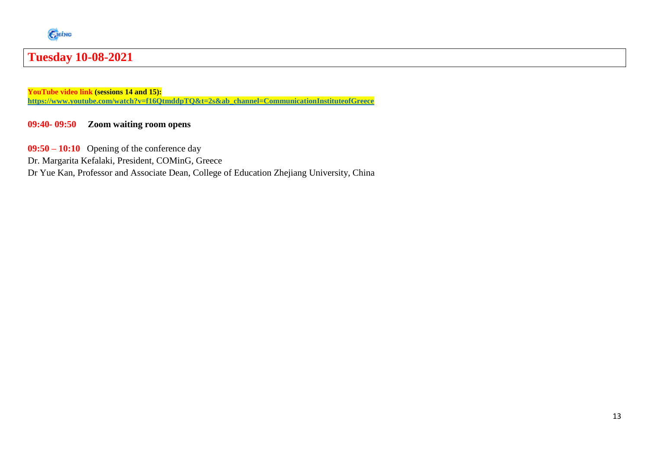

# **Tuesday 10-08-2021**

**YouTube video link (sessions 14 and 15): [https://www.youtube.com/watch?v=f16QtmddpTQ&t=2s&ab\\_channel=CommunicationInstituteofGreece](https://www.youtube.com/watch?v=f16QtmddpTQ&t=2s&ab_channel=CommunicationInstituteofGreece)**

## **09:40- 09:50 Zoom waiting room opens**

**09:50 – 10:10** Opening of the conference day

Dr. Margarita Kefalaki, President, COMinG, Greece

Dr Yue Kan, Professor and Associate Dean, College of Education Zhejiang University, China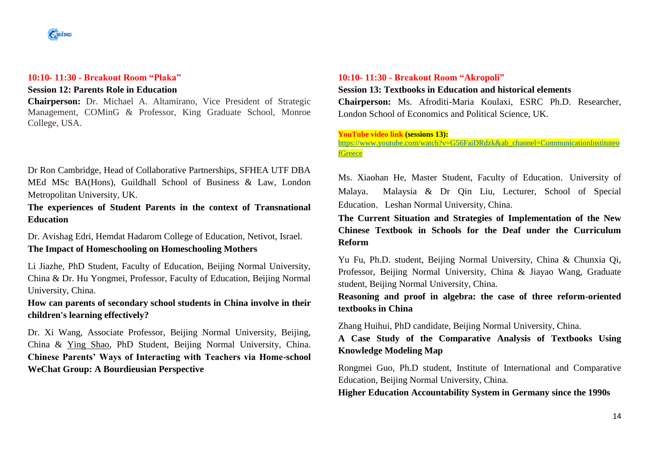#### **10:10- 11:30 - Breakout Room "Plaka"**

## **Session 12: Parents Role in Education**

**Chairperson:** Dr. Michael A. Altamirano, Vice President of Strategic Management, COMinG & Professor, King Graduate School, Monroe College, USA.

Dr Ron Cambridge, Head of Collaborative Partnerships, SFHEA UTF DBA MEd MSc BA(Hons), Guildhall School of Business & Law, London Metropolitan University, UK.

**The experiences of Student Parents in the context of Transnational Education**

Dr. Avishag Edri, Hemdat Hadarom College of Education, Netivot, Israel. **The Impact of Homeschooling on Homeschooling Mothers**

Li Jiazhe, PhD Student, Faculty of Education, Beijing Normal University, China & Dr. Hu Yongmei, Professor, Faculty of Education, Beijing Normal University, China.

**How can parents of secondary school students in China involve in their children's learning effectively?**

Dr. Xi Wang, Associate Professor, Beijing Normal University, Beijing, China & Ying Shao, PhD Student, Beijing Normal University, China. **Chinese Parents' Ways of Interacting with Teachers via Home-school WeChat Group: A Bourdieusian Perspective**

#### **10:10- 11:30 - Breakout Room "Akropoli"**

#### **Session 13: Textbooks in Education and historical elements**

**Chairperson:** Ms. Afroditi-Maria Koulaxi, ESRC Ph.D. Researcher, London School of Economics and Political Science, UK.

#### **YouTube video link (sessions 13):**

[https://www.youtube.com/watch?v=G56FaiDRdzk&ab\\_channel=CommunicationInstituteo](https://www.youtube.com/watch?v=G56FaiDRdzk&ab_channel=CommunicationInstituteofGreece) **[fGreece](https://www.youtube.com/watch?v=G56FaiDRdzk&ab_channel=CommunicationInstituteofGreece)** 

Ms. Xiaohan He, Master Student, Faculty of Education, University of Malaya, Malaysia & Dr Qin Liu, Lecturer, School of Special Education, Leshan Normal University, China.

**The Current Situation and Strategies of Implementation of the New Chinese Textbook in Schools for the Deaf under the Curriculum Reform**

Yu Fu, Ph.D. student, Beijing Normal University, China & Chunxia Qi, Professor, Beijing Normal University, China & Jiayao Wang, Graduate student, Beijing Normal University, China.

**Reasoning and proof in algebra: the case of three reform-oriented textbooks in China**

Zhang Huihui, PhD candidate, Beijing Normal University, China.

**A Case Study of the Comparative Analysis of Textbooks Using Knowledge Modeling Map**

Rongmei Guo, Ph.D student, Institute of International and Comparative Education, Beijing Normal University, China.

**Higher Education Accountability System in Germany since the 1990s**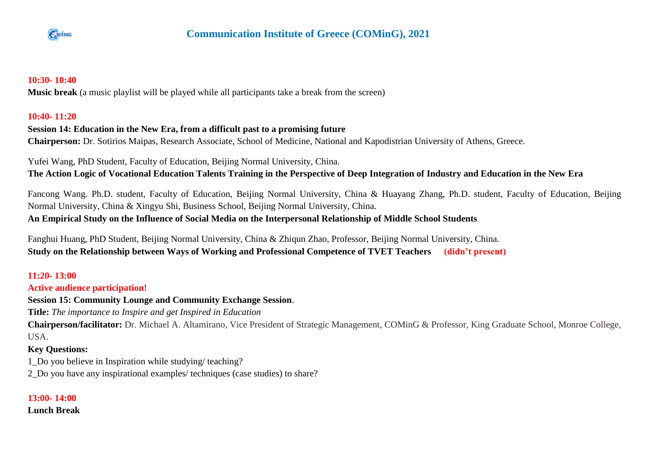

## **10:30- 10:40**

**Music break** (a music playlist will be played while all participants take a break from the screen)

## **10:40- 11:20**

## **Session 14: Education in the New Era, from a difficult past to a promising future**

**Chairperson:** Dr. Sotirios Maipas, Research Associate, School of Medicine, National and Kapodistrian University of Athens, Greece.

Yufei Wang, PhD Student, Faculty of Education, Beijing Normal University, China.

**The Action Logic of Vocational Education Talents Training in the Perspective of Deep Integration of Industry and Education in the New Era**

Fancong Wang. Ph.D. student, Faculty of Education, Beijing Normal University, China & Huayang Zhang, Ph.D. student, Faculty of Education, Beijing Normal University, China & Xingyu Shi, Business School, Beijing Normal University, China.

## **An Empirical Study on the Influence of Social Media on the Interpersonal Relationship of Middle School Students**

Fanghui Huang, PhD Student, Beijing Normal University, China & Zhiqun Zhao, Professor, Beijing Normal University, China. **Study on the Relationship between Ways of Working and Professional Competence of TVET Teachers (didn't present)**

## **11:20- 13:00**

## **Active audience participation!**

**Session 15: Community Lounge and Community Exchange Session**.

**Title:** *The importance to Inspire and get Inspired in Education*

**Chairperson/facilitator:** Dr. Michael A. Altamirano, Vice President of Strategic Management, COMinG & Professor, King Graduate School, Monroe College, USA.

## **Key Questions:**

1\_Do you believe in Inspiration while studying/ teaching?

2\_Do you have any inspirational examples/ techniques (case studies) to share?

## **13:00- 14:00**

**Lunch Break**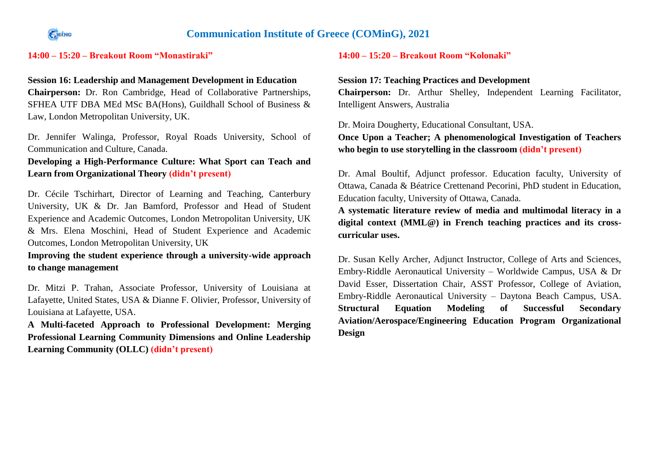

## **Communication Institute of Greece (COMinG), 2021**

## **14:00 – 15:20 – Breakout Room "Monastiraki"**

#### **Session 16: Leadership and Management Development in Education**

**Chairperson:** Dr. Ron Cambridge, Head of Collaborative Partnerships, SFHEA UTF DBA MEd MSc BA(Hons), Guildhall School of Business & Law, London Metropolitan University, UK.

Dr. Jennifer Walinga, Professor, Royal Roads University, School of Communication and Culture, Canada.

## **Developing a High-Performance Culture: What Sport can Teach and Learn from Organizational Theory (didn't present)**

Dr. Cécile Tschirhart, Director of Learning and Teaching, Canterbury University, UK & Dr. Jan Bamford, Professor and Head of Student Experience and Academic Outcomes, London Metropolitan University, UK & Mrs. Elena Moschini, Head of Student Experience and Academic Outcomes, London Metropolitan University, UK

**Improving the student experience through a university-wide approach to change management**

Dr. Mitzi P. Trahan, Associate Professor, University of Louisiana at Lafayette, United States, USA & Dianne F. Olivier, Professor, University of Louisiana at Lafayette, USA.

**A Multi-faceted Approach to Professional Development: Merging Professional Learning Community Dimensions and Online Leadership Learning Community (OLLC) (didn't present)**

## **14:00 – 15:20 – Breakout Room "Kolonaki"**

#### **Session 17: Teaching Practices and Development**

**Chairperson:** Dr. Arthur Shelley, Independent Learning Facilitator, Intelligent Answers, Australia

Dr. Moira Dougherty, Educational Consultant, USA.

**Once Upon a Teacher; A phenomenological Investigation of Teachers who begin to use storytelling in the classroom (didn't present)**

Dr. Amal Boultif, Adjunct professor. Education faculty, University of Ottawa, Canada & Béatrice Crettenand Pecorini, PhD student in Education, Education faculty, University of Ottawa, Canada.

**A systematic literature review of media and multimodal literacy in a digital context (MML@) in French teaching practices and its crosscurricular uses.**

Dr. Susan Kelly Archer, Adjunct Instructor, College of Arts and Sciences, Embry-Riddle Aeronautical University – Worldwide Campus, USA & Dr David Esser, Dissertation Chair, ASST Professor, College of Aviation, Embry-Riddle Aeronautical University – Daytona Beach Campus, USA. **Structural Equation Modeling of Successful Secondary Aviation/Aerospace/Engineering Education Program Organizational Design**